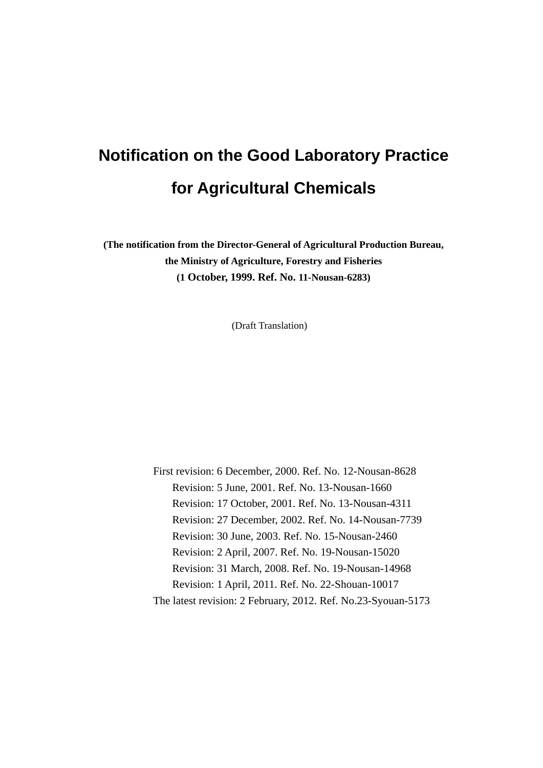# **Notification on the Good Laboratory Practice for Agricultural Chemicals**

**(The notification from the Director-General of Agricultural Production Bureau, the Ministry of Agriculture, Forestry and Fisheries (1 October, 1999. Ref. No. 11-Nousan-6283)** 

(Draft Translation)

First revision: 6 December, 2000. Ref. No. 12-Nousan-8628 Revision: 5 June, 2001. Ref. No. 13-Nousan-1660 Revision: 17 October, 2001. Ref. No. 13-Nousan-4311 Revision: 27 December, 2002. Ref. No. 14-Nousan-7739 Revision: 30 June, 2003. Ref. No. 15-Nousan-2460 Revision: 2 April, 2007. Ref. No. 19-Nousan-15020 Revision: 31 March, 2008. Ref. No. 19-Nousan-14968 Revision: 1 April, 2011. Ref. No. 22-Shouan-10017 The latest revision: 2 February, 2012. Ref. No.23-Syouan-5173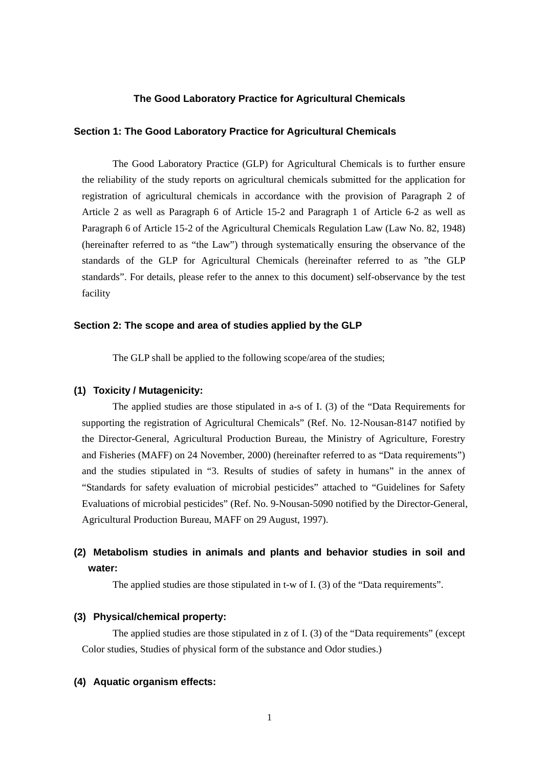#### **The Good Laboratory Practice for Agricultural Chemicals**

#### **Section 1: The Good Laboratory Practice for Agricultural Chemicals**

The Good Laboratory Practice (GLP) for Agricultural Chemicals is to further ensure the reliability of the study reports on agricultural chemicals submitted for the application for registration of agricultural chemicals in accordance with the provision of Paragraph 2 of Article 2 as well as Paragraph 6 of Article 15-2 and Paragraph 1 of Article 6-2 as well as Paragraph 6 of Article 15-2 of the Agricultural Chemicals Regulation Law (Law No. 82, 1948) (hereinafter referred to as "the Law") through systematically ensuring the observance of the standards of the GLP for Agricultural Chemicals (hereinafter referred to as "the GLP standards". For details, please refer to the annex to this document) self-observance by the test facility

#### **Section 2: The scope and area of studies applied by the GLP**

The GLP shall be applied to the following scope/area of the studies;

#### **(1) Toxicity / Mutagenicity:**

 The applied studies are those stipulated in a-s of I. (3) of the "Data Requirements for supporting the registration of Agricultural Chemicals" (Ref. No. 12-Nousan-8147 notified by the Director-General, Agricultural Production Bureau, the Ministry of Agriculture, Forestry and Fisheries (MAFF) on 24 November, 2000) (hereinafter referred to as "Data requirements") and the studies stipulated in "3. Results of studies of safety in humans" in the annex of "Standards for safety evaluation of microbial pesticides" attached to "Guidelines for Safety Evaluations of microbial pesticides" (Ref. No. 9-Nousan-5090 notified by the Director-General, Agricultural Production Bureau, MAFF on 29 August, 1997).

# **(2) Metabolism studies in animals and plants and behavior studies in soil and water:**

The applied studies are those stipulated in t-w of I. (3) of the "Data requirements".

### **(3) Physical/chemical property:**

 The applied studies are those stipulated in z of I. (3) of the "Data requirements" (except Color studies, Studies of physical form of the substance and Odor studies.)

#### **(4) Aquatic organism effects:**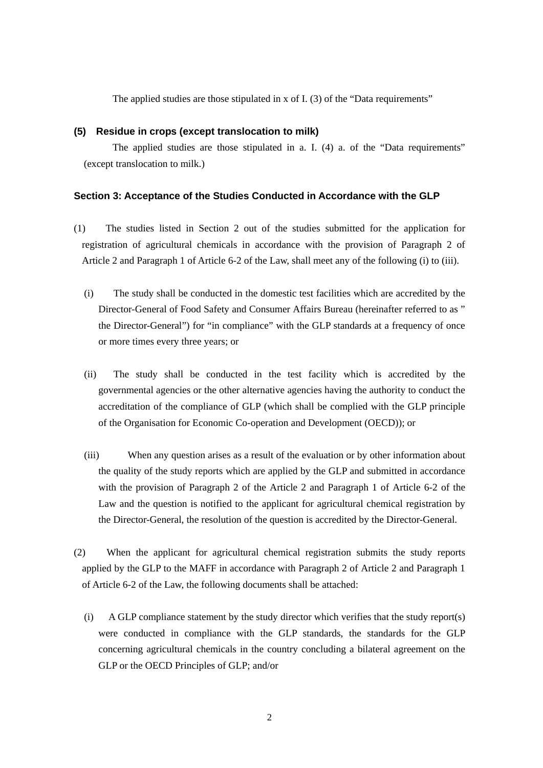The applied studies are those stipulated in x of I. (3) of the "Data requirements"

#### **(5) Residue in crops (except translocation to milk)**

The applied studies are those stipulated in a. I. (4) a. of the "Data requirements" (except translocation to milk.)

#### **Section 3: Acceptance of the Studies Conducted in Accordance with the GLP**

- (1) The studies listed in Section 2 out of the studies submitted for the application for registration of agricultural chemicals in accordance with the provision of Paragraph 2 of Article 2 and Paragraph 1 of Article 6-2 of the Law, shall meet any of the following (i) to (iii).
	- (i) The study shall be conducted in the domestic test facilities which are accredited by the Director-General of Food Safety and Consumer Affairs Bureau (hereinafter referred to as " the Director-General") for "in compliance" with the GLP standards at a frequency of once or more times every three years; or
	- (ii) The study shall be conducted in the test facility which is accredited by the governmental agencies or the other alternative agencies having the authority to conduct the accreditation of the compliance of GLP (which shall be complied with the GLP principle of the Organisation for Economic Co-operation and Development (OECD)); or
	- (iii) When any question arises as a result of the evaluation or by other information about the quality of the study reports which are applied by the GLP and submitted in accordance with the provision of Paragraph 2 of the Article 2 and Paragraph 1 of Article 6-2 of the Law and the question is notified to the applicant for agricultural chemical registration by the Director-General, the resolution of the question is accredited by the Director-General.
- (2) When the applicant for agricultural chemical registration submits the study reports applied by the GLP to the MAFF in accordance with Paragraph 2 of Article 2 and Paragraph 1 of Article 6-2 of the Law, the following documents shall be attached:
	- (i) A GLP compliance statement by the study director which verifies that the study report(s) were conducted in compliance with the GLP standards, the standards for the GLP concerning agricultural chemicals in the country concluding a bilateral agreement on the GLP or the OECD Principles of GLP; and/or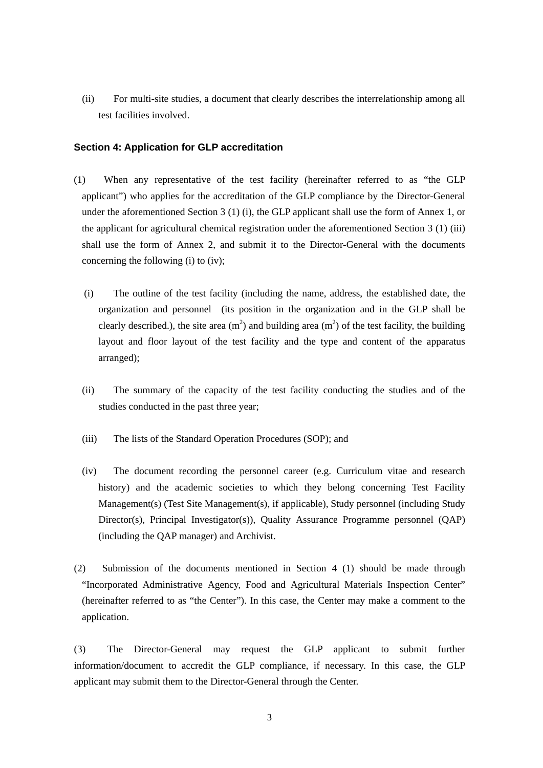(ii) For multi-site studies, a document that clearly describes the interrelationship among all test facilities involved.

#### **Section 4: Application for GLP accreditation**

- (1) When any representative of the test facility (hereinafter referred to as "the GLP applicant") who applies for the accreditation of the GLP compliance by the Director-General under the aforementioned Section 3 (1) (i), the GLP applicant shall use the form of Annex 1, or the applicant for agricultural chemical registration under the aforementioned Section 3 (1) (iii) shall use the form of Annex 2, and submit it to the Director-General with the documents concerning the following (i) to (iv);
	- (i) The outline of the test facility (including the name, address, the established date, the organization and personnel (its position in the organization and in the GLP shall be clearly described.), the site area  $(m^2)$  and building area  $(m^2)$  of the test facility, the building layout and floor layout of the test facility and the type and content of the apparatus arranged);
	- (ii) The summary of the capacity of the test facility conducting the studies and of the studies conducted in the past three year;
	- (iii) The lists of the Standard Operation Procedures (SOP); and
	- (iv) The document recording the personnel career (e.g. Curriculum vitae and research history) and the academic societies to which they belong concerning Test Facility Management(s) (Test Site Management(s), if applicable), Study personnel (including Study Director(s), Principal Investigator(s)), Quality Assurance Programme personnel (QAP) (including the QAP manager) and Archivist.
- (2) Submission of the documents mentioned in Section 4 (1) should be made through "Incorporated Administrative Agency, Food and Agricultural Materials Inspection Center" (hereinafter referred to as "the Center"). In this case, the Center may make a comment to the application.

(3) The Director-General may request the GLP applicant to submit further information/document to accredit the GLP compliance, if necessary. In this case, the GLP applicant may submit them to the Director-General through the Center.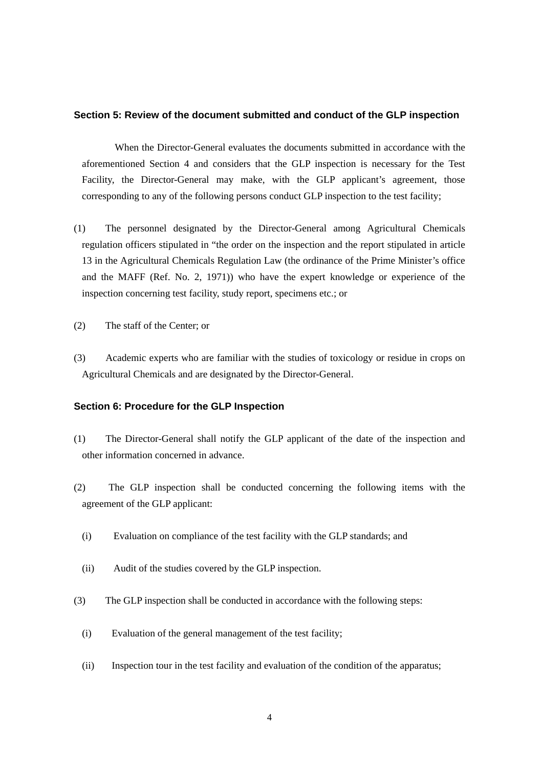#### **Section 5: Review of the document submitted and conduct of the GLP inspection**

When the Director-General evaluates the documents submitted in accordance with the aforementioned Section 4 and considers that the GLP inspection is necessary for the Test Facility, the Director-General may make, with the GLP applicant's agreement, those corresponding to any of the following persons conduct GLP inspection to the test facility;

- (1) The personnel designated by the Director-General among Agricultural Chemicals regulation officers stipulated in "the order on the inspection and the report stipulated in article 13 in the Agricultural Chemicals Regulation Law (the ordinance of the Prime Minister's office and the MAFF (Ref. No. 2, 1971)) who have the expert knowledge or experience of the inspection concerning test facility, study report, specimens etc.; or
- (2) The staff of the Center; or
- (3) Academic experts who are familiar with the studies of toxicology or residue in crops on Agricultural Chemicals and are designated by the Director-General.

#### **Section 6: Procedure for the GLP Inspection**

- (1) The Director-General shall notify the GLP applicant of the date of the inspection and other information concerned in advance.
- (2) The GLP inspection shall be conducted concerning the following items with the agreement of the GLP applicant:
	- (i) Evaluation on compliance of the test facility with the GLP standards; and
	- (ii) Audit of the studies covered by the GLP inspection.
- (3) The GLP inspection shall be conducted in accordance with the following steps:
	- (i) Evaluation of the general management of the test facility;
	- (ii) Inspection tour in the test facility and evaluation of the condition of the apparatus;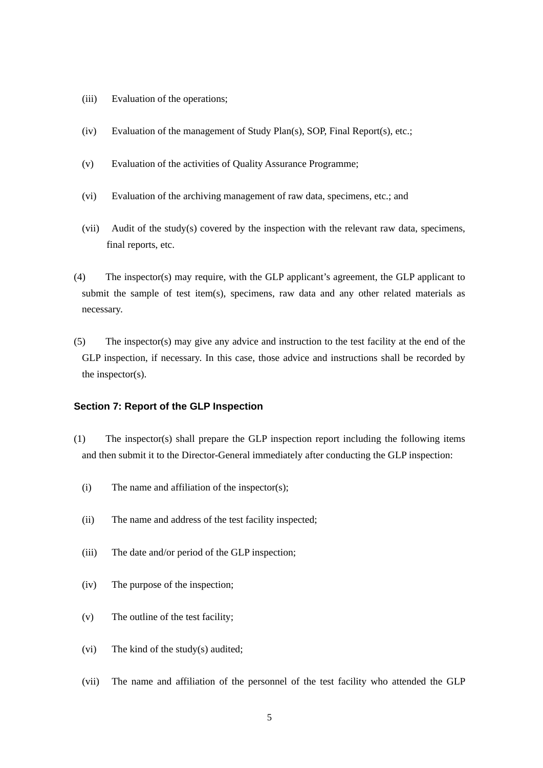- (iii) Evaluation of the operations;
- (iv) Evaluation of the management of Study Plan(s), SOP, Final Report(s), etc.;
- (v) Evaluation of the activities of Quality Assurance Programme;
- (vi) Evaluation of the archiving management of raw data, specimens, etc.; and
- (vii) Audit of the study(s) covered by the inspection with the relevant raw data, specimens, final reports, etc.
- (4) The inspector(s) may require, with the GLP applicant's agreement, the GLP applicant to submit the sample of test item(s), specimens, raw data and any other related materials as necessary.
- (5) The inspector(s) may give any advice and instruction to the test facility at the end of the GLP inspection, if necessary. In this case, those advice and instructions shall be recorded by the inspector(s).

### **Section 7: Report of the GLP Inspection**

- (1) The inspector(s) shall prepare the GLP inspection report including the following items and then submit it to the Director-General immediately after conducting the GLP inspection:
	- (i) The name and affiliation of the inspector(s);
	- (ii) The name and address of the test facility inspected;
	- (iii) The date and/or period of the GLP inspection;
	- (iv) The purpose of the inspection;
	- (v) The outline of the test facility;
	- (vi) The kind of the study(s) audited;
	- (vii) The name and affiliation of the personnel of the test facility who attended the GLP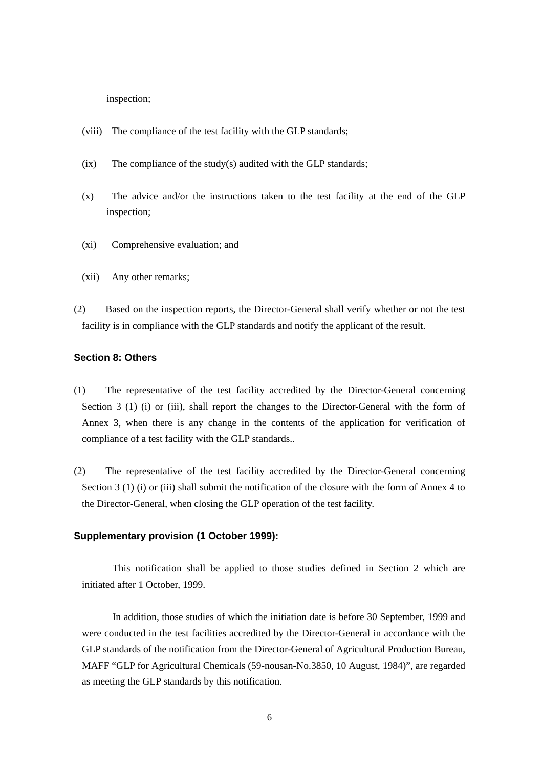inspection;

- (viii) The compliance of the test facility with the GLP standards;
- (ix) The compliance of the study(s) audited with the GLP standards;
- (x) The advice and/or the instructions taken to the test facility at the end of the GLP inspection;
- (xi) Comprehensive evaluation; and
- (xii) Any other remarks;
- (2) Based on the inspection reports, the Director-General shall verify whether or not the test facility is in compliance with the GLP standards and notify the applicant of the result.

### **Section 8: Others**

- (1) The representative of the test facility accredited by the Director-General concerning Section 3 (1) (i) or (iii), shall report the changes to the Director-General with the form of Annex 3, when there is any change in the contents of the application for verification of compliance of a test facility with the GLP standards..
- (2) The representative of the test facility accredited by the Director-General concerning Section 3 (1) (i) or (iii) shall submit the notification of the closure with the form of Annex 4 to the Director-General, when closing the GLP operation of the test facility.

#### **Supplementary provision (1 October 1999):**

This notification shall be applied to those studies defined in Section 2 which are initiated after 1 October, 1999.

In addition, those studies of which the initiation date is before 30 September, 1999 and were conducted in the test facilities accredited by the Director-General in accordance with the GLP standards of the notification from the Director-General of Agricultural Production Bureau, MAFF "GLP for Agricultural Chemicals (59-nousan-No.3850, 10 August, 1984)", are regarded as meeting the GLP standards by this notification.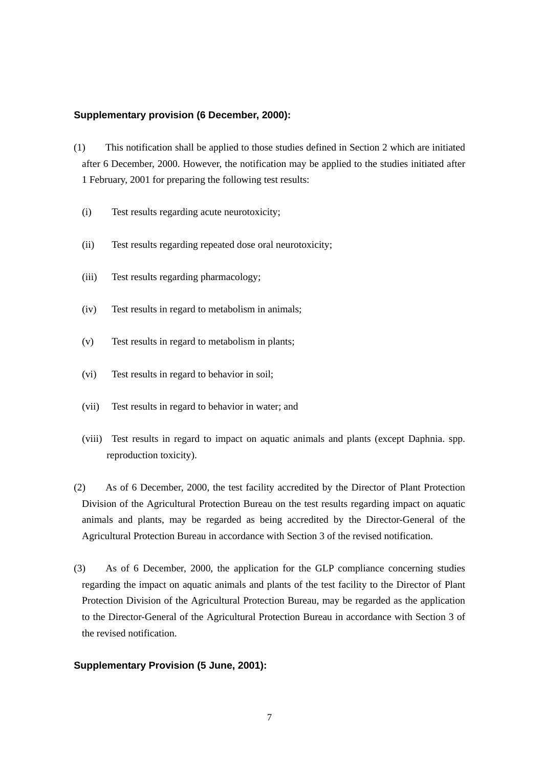#### **Supplementary provision (6 December, 2000):**

- (1) This notification shall be applied to those studies defined in Section 2 which are initiated after 6 December, 2000. However, the notification may be applied to the studies initiated after 1 February, 2001 for preparing the following test results:
	- (i) Test results regarding acute neurotoxicity;
	- (ii) Test results regarding repeated dose oral neurotoxicity;
	- (iii) Test results regarding pharmacology;
	- (iv) Test results in regard to metabolism in animals;
	- (v) Test results in regard to metabolism in plants;
	- (vi) Test results in regard to behavior in soil;
	- (vii) Test results in regard to behavior in water; and
	- (viii) Test results in regard to impact on aquatic animals and plants (except Daphnia. spp. reproduction toxicity).
- (2) As of 6 December, 2000, the test facility accredited by the Director of Plant Protection Division of the Agricultural Protection Bureau on the test results regarding impact on aquatic animals and plants, may be regarded as being accredited by the Director-General of the Agricultural Protection Bureau in accordance with Section 3 of the revised notification.
- (3) As of 6 December, 2000, the application for the GLP compliance concerning studies regarding the impact on aquatic animals and plants of the test facility to the Director of Plant Protection Division of the Agricultural Protection Bureau, may be regarded as the application to the Director-General of the Agricultural Protection Bureau in accordance with Section 3 of the revised notification.

### **Supplementary Provision (5 June, 2001):**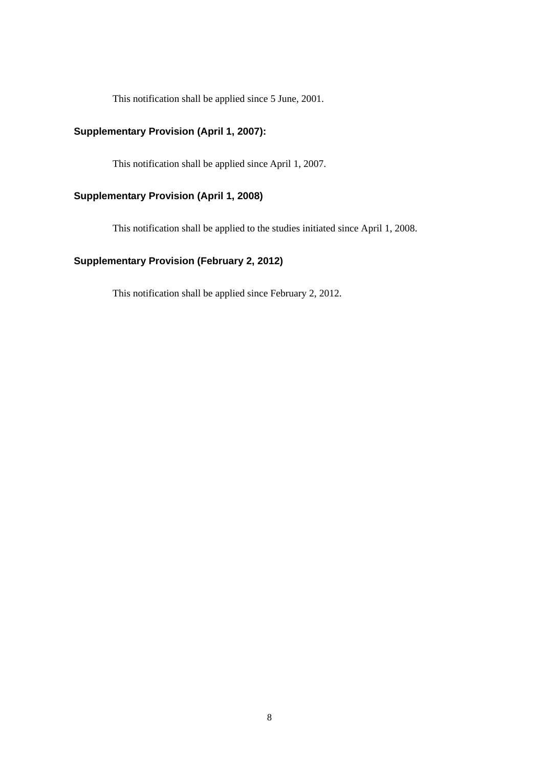This notification shall be applied since 5 June, 2001.

# **Supplementary Provision (April 1, 2007):**

This notification shall be applied since April 1, 2007.

# **Supplementary Provision (April 1, 2008)**

This notification shall be applied to the studies initiated since April 1, 2008.

# **Supplementary Provision (February 2, 2012)**

This notification shall be applied since February 2, 2012.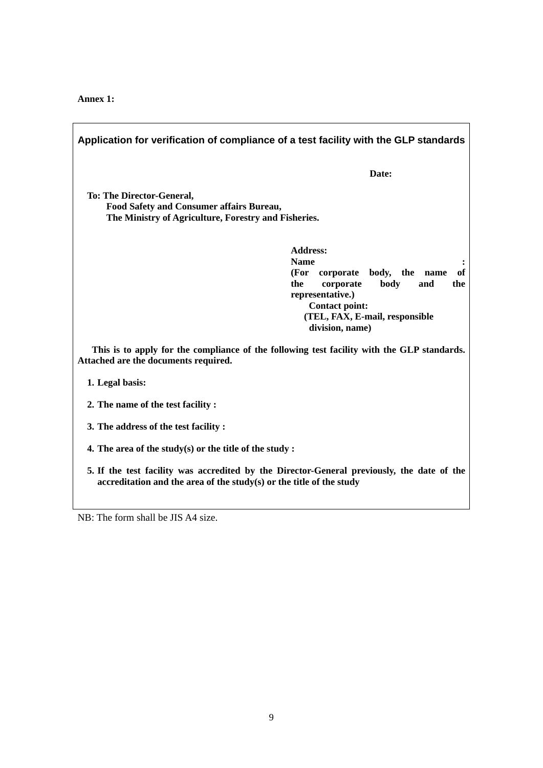**Annex 1:** 

| Application for verification of compliance of a test facility with the GLP standards                                                                                                                                    |  |  |
|-------------------------------------------------------------------------------------------------------------------------------------------------------------------------------------------------------------------------|--|--|
| Date:                                                                                                                                                                                                                   |  |  |
| <b>To: The Director-General,</b><br>Food Safety and Consumer affairs Bureau,<br>The Ministry of Agriculture, Forestry and Fisheries.                                                                                    |  |  |
| <b>Address:</b><br><b>Name</b><br>of<br>(For<br>body, the name<br>corporate<br>the<br>body<br>corporate<br>and<br>the<br>representative.)<br><b>Contact point:</b><br>(TEL, FAX, E-mail, responsible<br>division, name) |  |  |
| This is to apply for the compliance of the following test facility with the GLP standards.<br>Attached are the documents required.                                                                                      |  |  |
| 1. Legal basis:                                                                                                                                                                                                         |  |  |
| 2. The name of the test facility:                                                                                                                                                                                       |  |  |
| 3. The address of the test facility:                                                                                                                                                                                    |  |  |
| 4. The area of the study(s) or the title of the study:                                                                                                                                                                  |  |  |
| 5. If the test facility was accredited by the Director-General previously, the date of the<br>accreditation and the area of the study(s) or the title of the study                                                      |  |  |

NB: The form shall be JIS A4 size.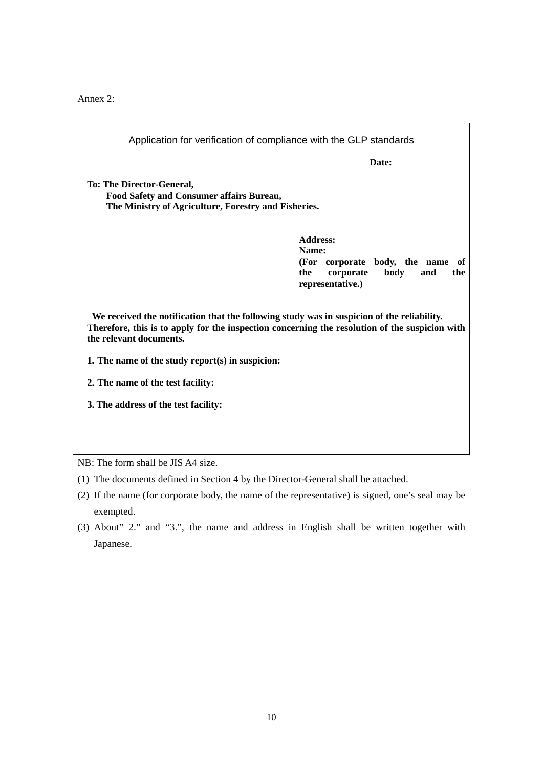Annex 2:

| Application for verification of compliance with the GLP standards                                                                                                                                                       |                                                                 |  |
|-------------------------------------------------------------------------------------------------------------------------------------------------------------------------------------------------------------------------|-----------------------------------------------------------------|--|
|                                                                                                                                                                                                                         | Date:                                                           |  |
| <b>To: The Director-General,</b><br>Food Safety and Consumer affairs Bureau,<br>The Ministry of Agriculture, Forestry and Fisheries.                                                                                    |                                                                 |  |
|                                                                                                                                                                                                                         | <b>Address:</b><br>Name:<br>(For corporate body, the name<br>of |  |
|                                                                                                                                                                                                                         | the<br>corporate<br>body<br>and<br>the<br>representative.)      |  |
| We received the notification that the following study was in suspicion of the reliability.<br>Therefore, this is to apply for the inspection concerning the resolution of the suspicion with<br>the relevant documents. |                                                                 |  |
| 1. The name of the study report(s) in suspicion:                                                                                                                                                                        |                                                                 |  |
| 2. The name of the test facility:                                                                                                                                                                                       |                                                                 |  |
| 3. The address of the test facility:                                                                                                                                                                                    |                                                                 |  |
|                                                                                                                                                                                                                         |                                                                 |  |
| $NB:$ The form shall be JIS A4 size                                                                                                                                                                                     |                                                                 |  |

NB: The form shall be JIS A4 size.

- (1) The documents defined in Section 4 by the Director-General shall be attached.
- (2) If the name (for corporate body, the name of the representative) is signed, one's seal may be exempted.
- (3) About" 2." and "3.", the name and address in English shall be written together with Japanese.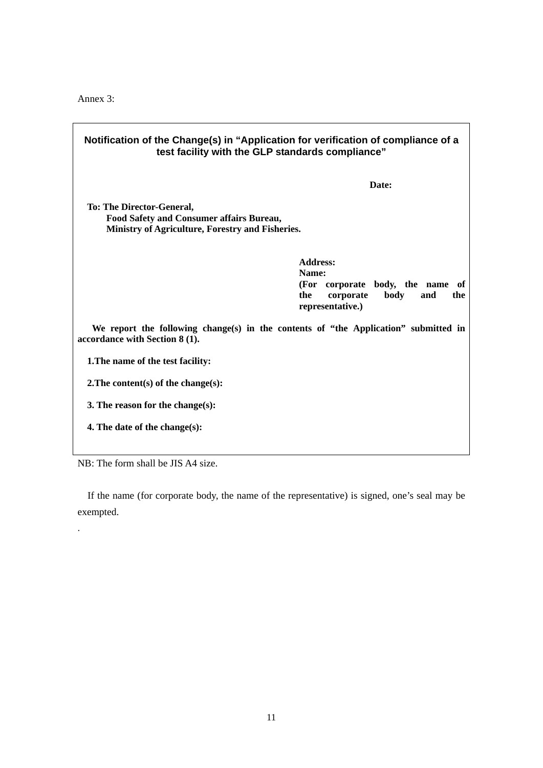Annex 3:

| Notification of the Change(s) in "Application for verification of compliance of a<br>test facility with the GLP standards compliance" |                                                                                                                            |  |
|---------------------------------------------------------------------------------------------------------------------------------------|----------------------------------------------------------------------------------------------------------------------------|--|
|                                                                                                                                       | Date:                                                                                                                      |  |
| <b>To: The Director-General,</b><br>Food Safety and Consumer affairs Bureau,<br>Ministry of Agriculture, Forestry and Fisheries.      |                                                                                                                            |  |
|                                                                                                                                       | <b>Address:</b><br>Name:<br>(For corporate body, the name of<br>the<br>corporate<br>body<br>and<br>the<br>representative.) |  |
| We report the following change(s) in the contents of "the Application" submitted in<br>accordance with Section 8 (1).                 |                                                                                                                            |  |
| 1. The name of the test facility:                                                                                                     |                                                                                                                            |  |
| 2. The content(s) of the change(s):                                                                                                   |                                                                                                                            |  |
| 3. The reason for the change(s):                                                                                                      |                                                                                                                            |  |
| 4. The date of the change(s):                                                                                                         |                                                                                                                            |  |

٦

NB: The form shall be JIS A4 size.

.

If the name (for corporate body, the name of the representative) is signed, one's seal may be exempted.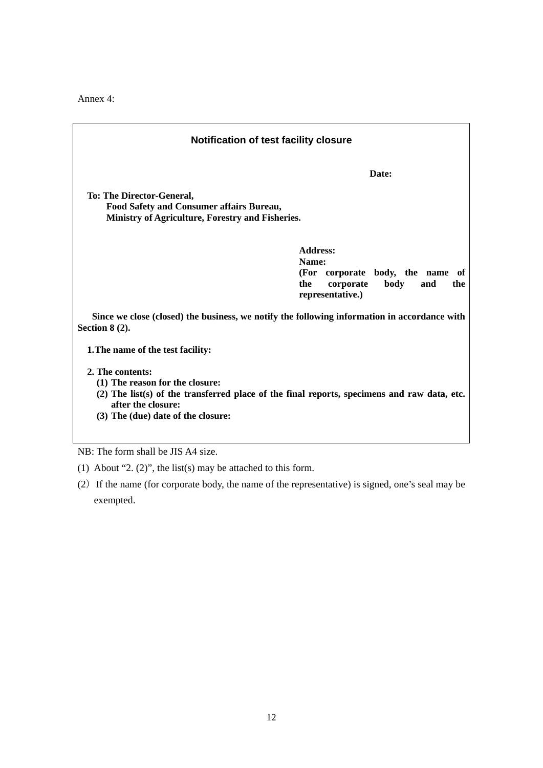Annex 4:

| <b>Notification of test facility closure</b>                                                                                                                                                                     |                                                                                                                               |  |
|------------------------------------------------------------------------------------------------------------------------------------------------------------------------------------------------------------------|-------------------------------------------------------------------------------------------------------------------------------|--|
|                                                                                                                                                                                                                  | Date:                                                                                                                         |  |
| <b>To: The Director-General,</b><br><b>Food Safety and Consumer affairs Bureau,</b><br>Ministry of Agriculture, Forestry and Fisheries.                                                                          |                                                                                                                               |  |
|                                                                                                                                                                                                                  | <b>Address:</b><br>Name:<br>(For corporate body, the name<br>of<br>corporate<br>the<br>body<br>and<br>the<br>representative.) |  |
| Since we close (closed) the business, we notify the following information in accordance with<br>Section $8(2)$ .                                                                                                 |                                                                                                                               |  |
| 1. The name of the test facility:                                                                                                                                                                                |                                                                                                                               |  |
| 2. The contents:<br>(1) The reason for the closure:<br>$(2)$ The list(s) of the transferred place of the final reports, specimens and raw data, etc.<br>after the closure:<br>(3) The (due) date of the closure: |                                                                                                                               |  |

NB: The form shall be JIS A4 size.

- (1) About "2. (2)", the list(s) may be attached to this form.
- (2)If the name (for corporate body, the name of the representative) is signed, one's seal may be exempted.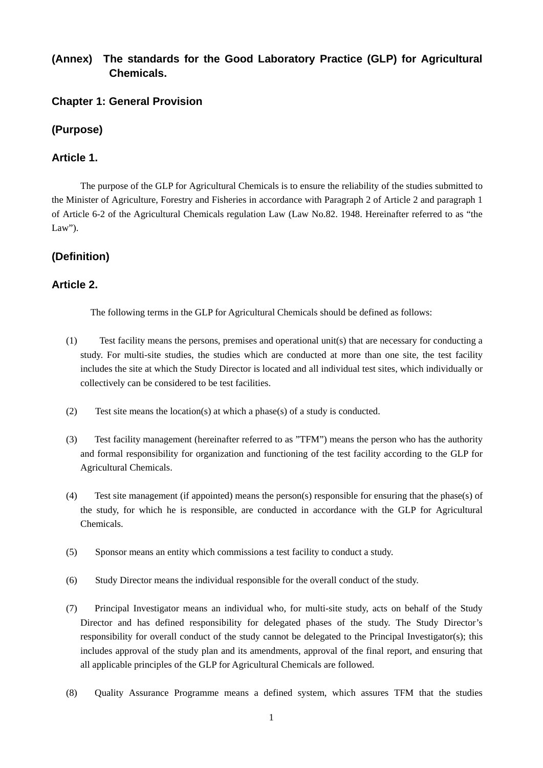# **(Annex) The standards for the Good Laboratory Practice (GLP) for Agricultural Chemicals.**

# **Chapter 1: General Provision**

# **(Purpose)**

# **Article 1.**

The purpose of the GLP for Agricultural Chemicals is to ensure the reliability of the studies submitted to the Minister of Agriculture, Forestry and Fisheries in accordance with Paragraph 2 of Article 2 and paragraph 1 of Article 6-2 of the Agricultural Chemicals regulation Law (Law No.82. 1948. Hereinafter referred to as "the Law").

# **(Definition)**

# **Article 2.**

The following terms in the GLP for Agricultural Chemicals should be defined as follows:

- (1) Test facility means the persons, premises and operational unit(s) that are necessary for conducting a study. For multi-site studies, the studies which are conducted at more than one site, the test facility includes the site at which the Study Director is located and all individual test sites, which individually or collectively can be considered to be test facilities.
- (2) Test site means the location(s) at which a phase(s) of a study is conducted.
- (3) Test facility management (hereinafter referred to as "TFM") means the person who has the authority and formal responsibility for organization and functioning of the test facility according to the GLP for Agricultural Chemicals.
- (4) Test site management (if appointed) means the person(s) responsible for ensuring that the phase(s) of the study, for which he is responsible, are conducted in accordance with the GLP for Agricultural Chemicals.
- (5) Sponsor means an entity which commissions a test facility to conduct a study.
- (6) Study Director means the individual responsible for the overall conduct of the study.
- (7) Principal Investigator means an individual who, for multi-site study, acts on behalf of the Study Director and has defined responsibility for delegated phases of the study. The Study Director's responsibility for overall conduct of the study cannot be delegated to the Principal Investigator(s); this includes approval of the study plan and its amendments, approval of the final report, and ensuring that all applicable principles of the GLP for Agricultural Chemicals are followed.
- (8) Quality Assurance Programme means a defined system, which assures TFM that the studies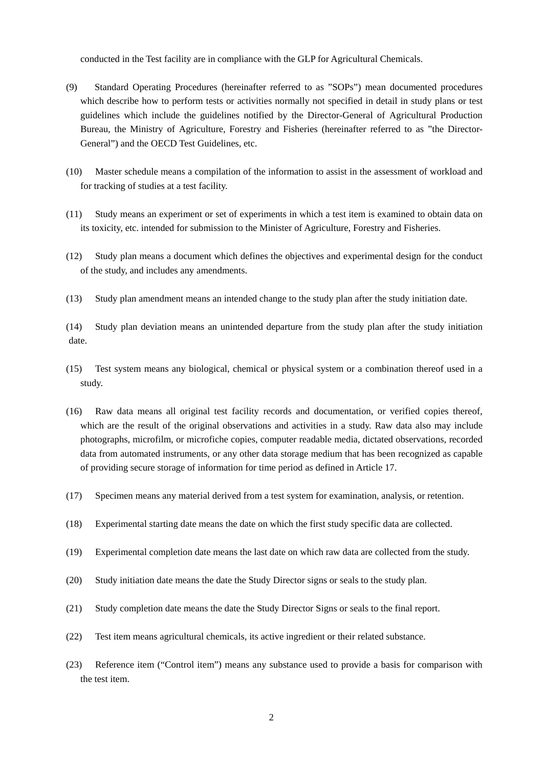conducted in the Test facility are in compliance with the GLP for Agricultural Chemicals.

- (9) Standard Operating Procedures (hereinafter referred to as "SOPs") mean documented procedures which describe how to perform tests or activities normally not specified in detail in study plans or test guidelines which include the guidelines notified by the Director-General of Agricultural Production Bureau, the Ministry of Agriculture, Forestry and Fisheries (hereinafter referred to as "the Director-General") and the OECD Test Guidelines, etc.
- (10) Master schedule means a compilation of the information to assist in the assessment of workload and for tracking of studies at a test facility.
- (11) Study means an experiment or set of experiments in which a test item is examined to obtain data on its toxicity, etc. intended for submission to the Minister of Agriculture, Forestry and Fisheries.
- (12) Study plan means a document which defines the objectives and experimental design for the conduct of the study, and includes any amendments.
- (13) Study plan amendment means an intended change to the study plan after the study initiation date.
- (14) Study plan deviation means an unintended departure from the study plan after the study initiation date.
- (15) Test system means any biological, chemical or physical system or a combination thereof used in a study.
- (16) Raw data means all original test facility records and documentation, or verified copies thereof, which are the result of the original observations and activities in a study. Raw data also may include photographs, microfilm, or microfiche copies, computer readable media, dictated observations, recorded data from automated instruments, or any other data storage medium that has been recognized as capable of providing secure storage of information for time period as defined in Article 17.
- (17) Specimen means any material derived from a test system for examination, analysis, or retention.
- (18) Experimental starting date means the date on which the first study specific data are collected.
- (19) Experimental completion date means the last date on which raw data are collected from the study.
- (20) Study initiation date means the date the Study Director signs or seals to the study plan.
- (21) Study completion date means the date the Study Director Signs or seals to the final report.
- (22) Test item means agricultural chemicals, its active ingredient or their related substance.
- (23) Reference item ("Control item") means any substance used to provide a basis for comparison with the test item.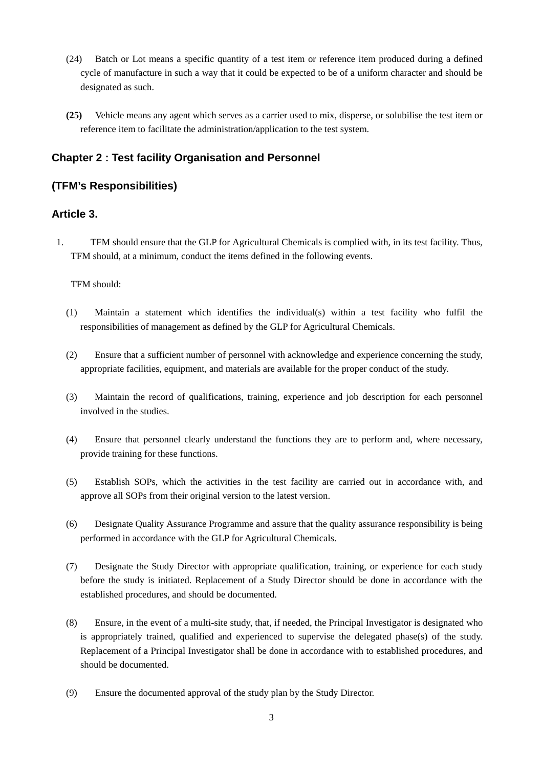- (24) Batch or Lot means a specific quantity of a test item or reference item produced during a defined cycle of manufacture in such a way that it could be expected to be of a uniform character and should be designated as such.
- **(25)** Vehicle means any agent which serves as a carrier used to mix, disperse, or solubilise the test item or reference item to facilitate the administration/application to the test system.

# **Chapter 2 : Test facility Organisation and Personnel**

# **(TFM's Responsibilities)**

# **Article 3.**

1. TFM should ensure that the GLP for Agricultural Chemicals is complied with, in its test facility. Thus, TFM should, at a minimum, conduct the items defined in the following events.

### TFM should:

- (1) Maintain a statement which identifies the individual(s) within a test facility who fulfil the responsibilities of management as defined by the GLP for Agricultural Chemicals.
- (2) Ensure that a sufficient number of personnel with acknowledge and experience concerning the study, appropriate facilities, equipment, and materials are available for the proper conduct of the study.
- (3) Maintain the record of qualifications, training, experience and job description for each personnel involved in the studies.
- (4) Ensure that personnel clearly understand the functions they are to perform and, where necessary, provide training for these functions.
- (5) Establish SOPs, which the activities in the test facility are carried out in accordance with, and approve all SOPs from their original version to the latest version.
- (6) Designate Quality Assurance Programme and assure that the quality assurance responsibility is being performed in accordance with the GLP for Agricultural Chemicals.
- (7) Designate the Study Director with appropriate qualification, training, or experience for each study before the study is initiated. Replacement of a Study Director should be done in accordance with the established procedures, and should be documented.
- (8) Ensure, in the event of a multi-site study, that, if needed, the Principal Investigator is designated who is appropriately trained, qualified and experienced to supervise the delegated phase(s) of the study. Replacement of a Principal Investigator shall be done in accordance with to established procedures, and should be documented.
- (9) Ensure the documented approval of the study plan by the Study Director.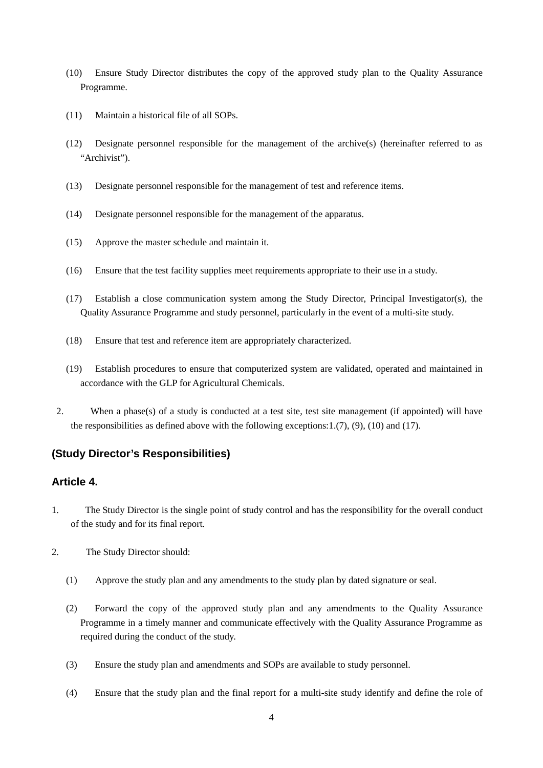- (10) Ensure Study Director distributes the copy of the approved study plan to the Quality Assurance Programme.
- (11) Maintain a historical file of all SOPs.
- (12) Designate personnel responsible for the management of the archive(s) (hereinafter referred to as "Archivist").
- (13) Designate personnel responsible for the management of test and reference items.
- (14) Designate personnel responsible for the management of the apparatus.
- (15) Approve the master schedule and maintain it.
- (16) Ensure that the test facility supplies meet requirements appropriate to their use in a study.
- (17) Establish a close communication system among the Study Director, Principal Investigator(s), the Quality Assurance Programme and study personnel, particularly in the event of a multi-site study.
- (18) Ensure that test and reference item are appropriately characterized.
- (19) Establish procedures to ensure that computerized system are validated, operated and maintained in accordance with the GLP for Agricultural Chemicals.
- 2. When a phase(s) of a study is conducted at a test site, test site management (if appointed) will have the responsibilities as defined above with the following exceptions:  $1.(7)$ ,  $(9)$ ,  $(10)$  and  $(17)$ .

# **(Study Director's Responsibilities)**

### **Article 4.**

- 1. The Study Director is the single point of study control and has the responsibility for the overall conduct of the study and for its final report.
- 2. The Study Director should:
	- (1) Approve the study plan and any amendments to the study plan by dated signature or seal.
	- (2) Forward the copy of the approved study plan and any amendments to the Quality Assurance Programme in a timely manner and communicate effectively with the Quality Assurance Programme as required during the conduct of the study.
	- (3) Ensure the study plan and amendments and SOPs are available to study personnel.
	- (4) Ensure that the study plan and the final report for a multi-site study identify and define the role of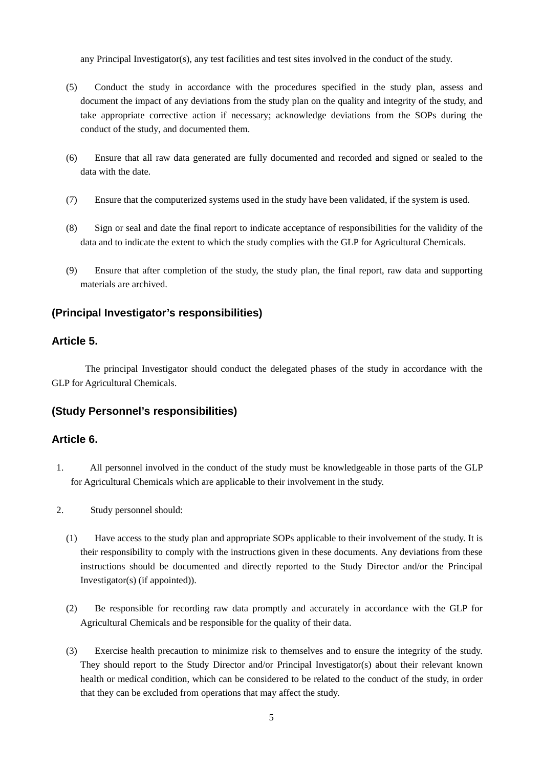any Principal Investigator(s), any test facilities and test sites involved in the conduct of the study.

- (5) Conduct the study in accordance with the procedures specified in the study plan, assess and document the impact of any deviations from the study plan on the quality and integrity of the study, and take appropriate corrective action if necessary; acknowledge deviations from the SOPs during the conduct of the study, and documented them.
- (6) Ensure that all raw data generated are fully documented and recorded and signed or sealed to the data with the date.
- (7) Ensure that the computerized systems used in the study have been validated, if the system is used.
- (8) Sign or seal and date the final report to indicate acceptance of responsibilities for the validity of the data and to indicate the extent to which the study complies with the GLP for Agricultural Chemicals.
- (9) Ensure that after completion of the study, the study plan, the final report, raw data and supporting materials are archived.

### **(Principal Investigator's responsibilities)**

### **Article 5.**

The principal Investigator should conduct the delegated phases of the study in accordance with the GLP for Agricultural Chemicals.

# **(Study Personnel's responsibilities)**

### **Article 6.**

- 1. All personnel involved in the conduct of the study must be knowledgeable in those parts of the GLP for Agricultural Chemicals which are applicable to their involvement in the study.
- 2. Study personnel should:
	- (1) Have access to the study plan and appropriate SOPs applicable to their involvement of the study. It is their responsibility to comply with the instructions given in these documents. Any deviations from these instructions should be documented and directly reported to the Study Director and/or the Principal Investigator(s) (if appointed)).
	- (2) Be responsible for recording raw data promptly and accurately in accordance with the GLP for Agricultural Chemicals and be responsible for the quality of their data.
	- (3) Exercise health precaution to minimize risk to themselves and to ensure the integrity of the study. They should report to the Study Director and/or Principal Investigator(s) about their relevant known health or medical condition, which can be considered to be related to the conduct of the study, in order that they can be excluded from operations that may affect the study.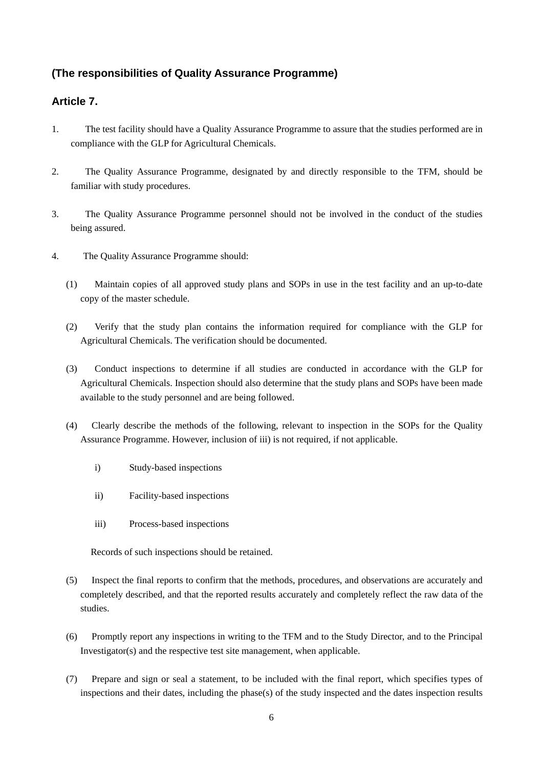# **(The responsibilities of Quality Assurance Programme)**

# **Article 7.**

- 1. The test facility should have a Quality Assurance Programme to assure that the studies performed are in compliance with the GLP for Agricultural Chemicals.
- 2. The Quality Assurance Programme, designated by and directly responsible to the TFM, should be familiar with study procedures.
- 3. The Quality Assurance Programme personnel should not be involved in the conduct of the studies being assured.
- 4. The Quality Assurance Programme should:
	- (1) Maintain copies of all approved study plans and SOPs in use in the test facility and an up-to-date copy of the master schedule.
	- (2) Verify that the study plan contains the information required for compliance with the GLP for Agricultural Chemicals. The verification should be documented.
	- (3) Conduct inspections to determine if all studies are conducted in accordance with the GLP for Agricultural Chemicals. Inspection should also determine that the study plans and SOPs have been made available to the study personnel and are being followed.
	- (4) Clearly describe the methods of the following, relevant to inspection in the SOPs for the Quality Assurance Programme. However, inclusion of iii) is not required, if not applicable.
		- i) Study-based inspections
		- ii) Facility-based inspections
		- iii) Process-based inspections

Records of such inspections should be retained.

- (5) Inspect the final reports to confirm that the methods, procedures, and observations are accurately and completely described, and that the reported results accurately and completely reflect the raw data of the studies.
- (6) Promptly report any inspections in writing to the TFM and to the Study Director, and to the Principal Investigator(s) and the respective test site management, when applicable.
- (7) Prepare and sign or seal a statement, to be included with the final report, which specifies types of inspections and their dates, including the phase(s) of the study inspected and the dates inspection results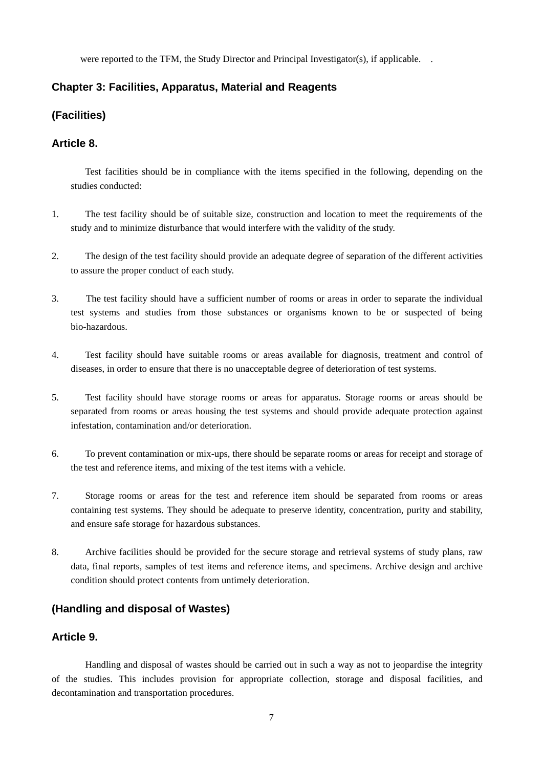were reported to the TFM, the Study Director and Principal Investigator(s), if applicable. .

### **Chapter 3: Facilities, Apparatus, Material and Reagents**

# **(Facilities)**

### **Article 8.**

Test facilities should be in compliance with the items specified in the following, depending on the studies conducted:

- 1. The test facility should be of suitable size, construction and location to meet the requirements of the study and to minimize disturbance that would interfere with the validity of the study.
- 2. The design of the test facility should provide an adequate degree of separation of the different activities to assure the proper conduct of each study.
- 3. The test facility should have a sufficient number of rooms or areas in order to separate the individual test systems and studies from those substances or organisms known to be or suspected of being bio-hazardous.
- 4. Test facility should have suitable rooms or areas available for diagnosis, treatment and control of diseases, in order to ensure that there is no unacceptable degree of deterioration of test systems.
- 5. Test facility should have storage rooms or areas for apparatus. Storage rooms or areas should be separated from rooms or areas housing the test systems and should provide adequate protection against infestation, contamination and/or deterioration.
- 6. To prevent contamination or mix-ups, there should be separate rooms or areas for receipt and storage of the test and reference items, and mixing of the test items with a vehicle.
- 7. Storage rooms or areas for the test and reference item should be separated from rooms or areas containing test systems. They should be adequate to preserve identity, concentration, purity and stability, and ensure safe storage for hazardous substances.
- 8. Archive facilities should be provided for the secure storage and retrieval systems of study plans, raw data, final reports, samples of test items and reference items, and specimens. Archive design and archive condition should protect contents from untimely deterioration.

# **(Handling and disposal of Wastes)**

# **Article 9.**

Handling and disposal of wastes should be carried out in such a way as not to jeopardise the integrity of the studies. This includes provision for appropriate collection, storage and disposal facilities, and decontamination and transportation procedures.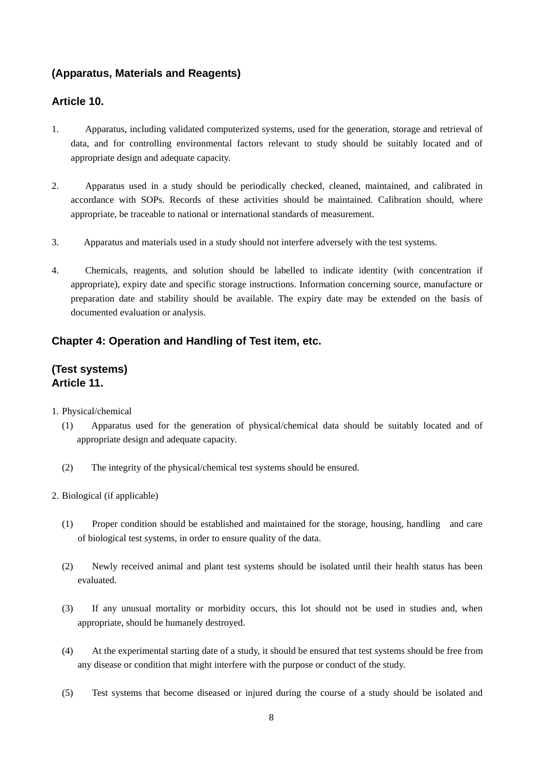# **(Apparatus, Materials and Reagents)**

# **Article 10.**

- 1. Apparatus, including validated computerized systems, used for the generation, storage and retrieval of data, and for controlling environmental factors relevant to study should be suitably located and of appropriate design and adequate capacity.
- 2. Apparatus used in a study should be periodically checked, cleaned, maintained, and calibrated in accordance with SOPs. Records of these activities should be maintained. Calibration should, where appropriate, be traceable to national or international standards of measurement.
- 3. Apparatus and materials used in a study should not interfere adversely with the test systems.
- 4. Chemicals, reagents, and solution should be labelled to indicate identity (with concentration if appropriate), expiry date and specific storage instructions. Information concerning source, manufacture or preparation date and stability should be available. The expiry date may be extended on the basis of documented evaluation or analysis.

# **Chapter 4: Operation and Handling of Test item, etc.**

# **(Test systems) Article 11.**

- 1. Physical/chemical
	- (1) Apparatus used for the generation of physical/chemical data should be suitably located and of appropriate design and adequate capacity.
	- (2) The integrity of the physical/chemical test systems should be ensured.
- 2. Biological (if applicable)
	- (1) Proper condition should be established and maintained for the storage, housing, handling and care of biological test systems, in order to ensure quality of the data.
	- (2) Newly received animal and plant test systems should be isolated until their health status has been evaluated.
	- (3) If any unusual mortality or morbidity occurs, this lot should not be used in studies and, when appropriate, should be humanely destroyed.
	- (4) At the experimental starting date of a study, it should be ensured that test systems should be free from any disease or condition that might interfere with the purpose or conduct of the study.
	- (5) Test systems that become diseased or injured during the course of a study should be isolated and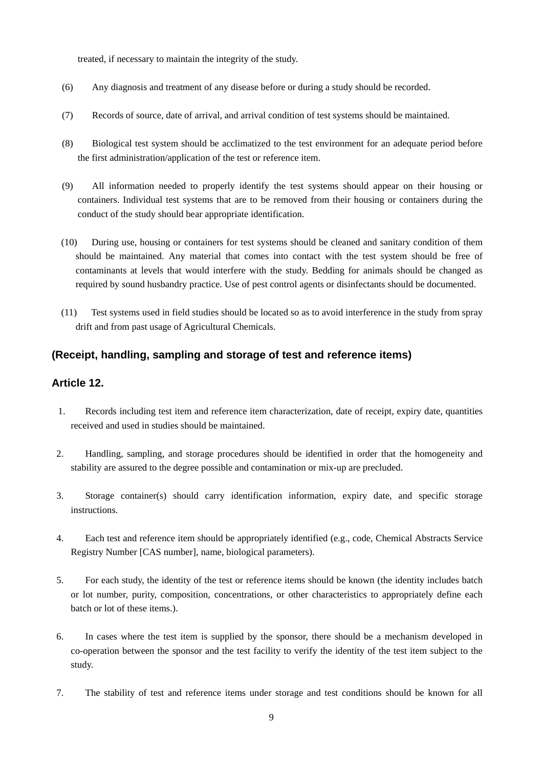treated, if necessary to maintain the integrity of the study.

- (6) Any diagnosis and treatment of any disease before or during a study should be recorded.
- (7) Records of source, date of arrival, and arrival condition of test systems should be maintained.
- (8) Biological test system should be acclimatized to the test environment for an adequate period before the first administration/application of the test or reference item.
- (9) All information needed to properly identify the test systems should appear on their housing or containers. Individual test systems that are to be removed from their housing or containers during the conduct of the study should bear appropriate identification.
- (10) During use, housing or containers for test systems should be cleaned and sanitary condition of them should be maintained. Any material that comes into contact with the test system should be free of contaminants at levels that would interfere with the study. Bedding for animals should be changed as required by sound husbandry practice. Use of pest control agents or disinfectants should be documented.
- (11) Test systems used in field studies should be located so as to avoid interference in the study from spray drift and from past usage of Agricultural Chemicals.

# **(Receipt, handling, sampling and storage of test and reference items)**

### **Article 12.**

- 1. Records including test item and reference item characterization, date of receipt, expiry date, quantities received and used in studies should be maintained.
- 2. Handling, sampling, and storage procedures should be identified in order that the homogeneity and stability are assured to the degree possible and contamination or mix-up are precluded.
- 3. Storage container(s) should carry identification information, expiry date, and specific storage instructions.
- 4. Each test and reference item should be appropriately identified (e.g., code, Chemical Abstracts Service Registry Number [CAS number], name, biological parameters).
- 5. For each study, the identity of the test or reference items should be known (the identity includes batch or lot number, purity, composition, concentrations, or other characteristics to appropriately define each batch or lot of these items.).
- 6. In cases where the test item is supplied by the sponsor, there should be a mechanism developed in co-operation between the sponsor and the test facility to verify the identity of the test item subject to the study.
- 7. The stability of test and reference items under storage and test conditions should be known for all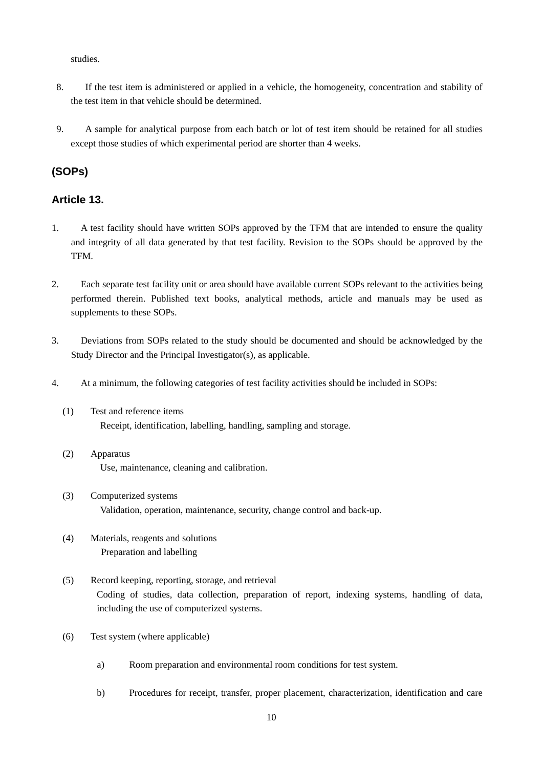studies.

- 8. If the test item is administered or applied in a vehicle, the homogeneity, concentration and stability of the test item in that vehicle should be determined.
- 9. A sample for analytical purpose from each batch or lot of test item should be retained for all studies except those studies of which experimental period are shorter than 4 weeks.

# **(SOPs)**

# **Article 13.**

- 1. A test facility should have written SOPs approved by the TFM that are intended to ensure the quality and integrity of all data generated by that test facility. Revision to the SOPs should be approved by the TFM.
- 2. Each separate test facility unit or area should have available current SOPs relevant to the activities being performed therein. Published text books, analytical methods, article and manuals may be used as supplements to these SOPs.
- 3. Deviations from SOPs related to the study should be documented and should be acknowledged by the Study Director and the Principal Investigator(s), as applicable.
- 4. At a minimum, the following categories of test facility activities should be included in SOPs:
	- (1) Test and reference items Receipt, identification, labelling, handling, sampling and storage.
	- (2) Apparatus Use, maintenance, cleaning and calibration.
	- (3) Computerized systems Validation, operation, maintenance, security, change control and back-up.
	- (4) Materials, reagents and solutions Preparation and labelling
	- (5) Record keeping, reporting, storage, and retrieval Coding of studies, data collection, preparation of report, indexing systems, handling of data, including the use of computerized systems.
	- (6) Test system (where applicable)
		- a) Room preparation and environmental room conditions for test system.
		- b) Procedures for receipt, transfer, proper placement, characterization, identification and care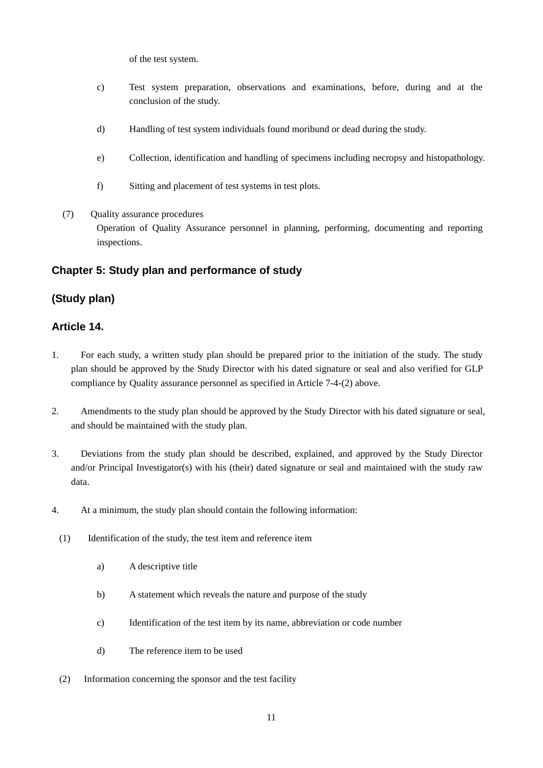of the test system.

- c) Test system preparation, observations and examinations, before, during and at the conclusion of the study.
- d) Handling of test system individuals found moribund or dead during the study.
- e) Collection, identification and handling of specimens including necropsy and histopathology.
- f) Sitting and placement of test systems in test plots.
- (7) Quality assurance procedures Operation of Quality Assurance personnel in planning, performing, documenting and reporting inspections.

# **Chapter 5: Study plan and performance of study**

# **(Study plan)**

# **Article 14.**

- 1. For each study, a written study plan should be prepared prior to the initiation of the study. The study plan should be approved by the Study Director with his dated signature or seal and also verified for GLP compliance by Quality assurance personnel as specified in Article 7-4-(2) above.
- 2. Amendments to the study plan should be approved by the Study Director with his dated signature or seal, and should be maintained with the study plan.
- 3. Deviations from the study plan should be described, explained, and approved by the Study Director and/or Principal Investigator(s) with his (their) dated signature or seal and maintained with the study raw data.
- 4. At a minimum, the study plan should contain the following information:
	- (1) Identification of the study, the test item and reference item
		- a) A descriptive title
		- b) A statement which reveals the nature and purpose of the study
		- c) Identification of the test item by its name, abbreviation or code number
		- d) The reference item to be used
	- (2) Information concerning the sponsor and the test facility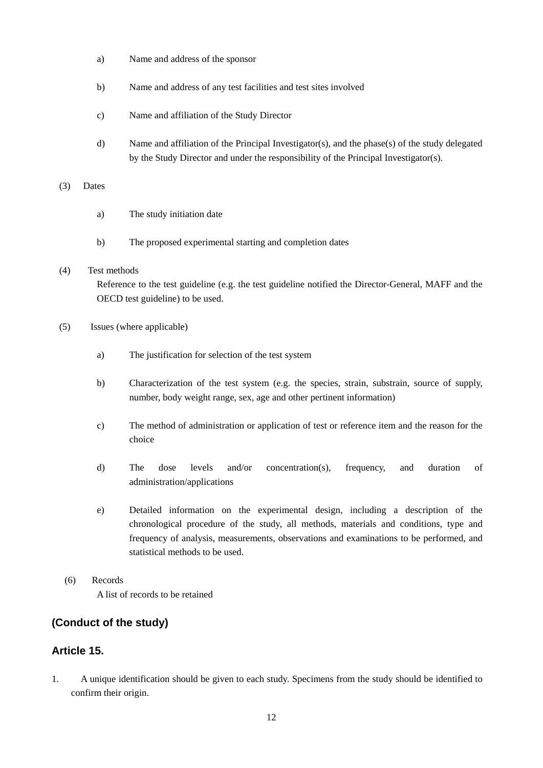- a) Name and address of the sponsor
- b) Name and address of any test facilities and test sites involved
- c) Name and affiliation of the Study Director
- d) Name and affiliation of the Principal Investigator(s), and the phase(s) of the study delegated by the Study Director and under the responsibility of the Principal Investigator(s).

### (3) Dates

- a) The study initiation date
- b) The proposed experimental starting and completion dates

### (4) Test methods

Reference to the test guideline (e.g. the test guideline notified the Director-General, MAFF and the OECD test guideline) to be used.

- (5) Issues (where applicable)
	- a) The justification for selection of the test system
	- b) Characterization of the test system (e.g. the species, strain, substrain, source of supply, number, body weight range, sex, age and other pertinent information)
	- c) The method of administration or application of test or reference item and the reason for the choice
	- d) The dose levels and/or concentration(s), frequency, and duration of administration/applications
	- e) Detailed information on the experimental design, including a description of the chronological procedure of the study, all methods, materials and conditions, type and frequency of analysis, measurements, observations and examinations to be performed, and statistical methods to be used.
- (6) Records A list of records to be retained

# **(Conduct of the study)**

# **Article 15.**

1. A unique identification should be given to each study. Specimens from the study should be identified to confirm their origin.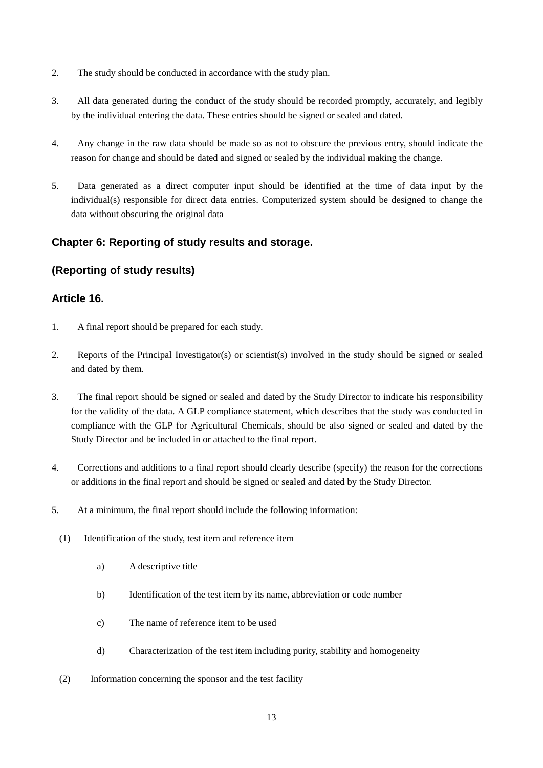- 2. The study should be conducted in accordance with the study plan.
- 3. All data generated during the conduct of the study should be recorded promptly, accurately, and legibly by the individual entering the data. These entries should be signed or sealed and dated.
- 4. Any change in the raw data should be made so as not to obscure the previous entry, should indicate the reason for change and should be dated and signed or sealed by the individual making the change.
- 5. Data generated as a direct computer input should be identified at the time of data input by the individual(s) responsible for direct data entries. Computerized system should be designed to change the data without obscuring the original data

# **Chapter 6: Reporting of study results and storage.**

# **(Reporting of study results)**

### **Article 16.**

- 1. A final report should be prepared for each study.
- 2. Reports of the Principal Investigator(s) or scientist(s) involved in the study should be signed or sealed and dated by them.
- 3. The final report should be signed or sealed and dated by the Study Director to indicate his responsibility for the validity of the data. A GLP compliance statement, which describes that the study was conducted in compliance with the GLP for Agricultural Chemicals, should be also signed or sealed and dated by the Study Director and be included in or attached to the final report.
- 4. Corrections and additions to a final report should clearly describe (specify) the reason for the corrections or additions in the final report and should be signed or sealed and dated by the Study Director.
- 5. At a minimum, the final report should include the following information:
	- (1) Identification of the study, test item and reference item
		- a) A descriptive title
		- b) Identification of the test item by its name, abbreviation or code number
		- c) The name of reference item to be used
		- d) Characterization of the test item including purity, stability and homogeneity
	- (2) Information concerning the sponsor and the test facility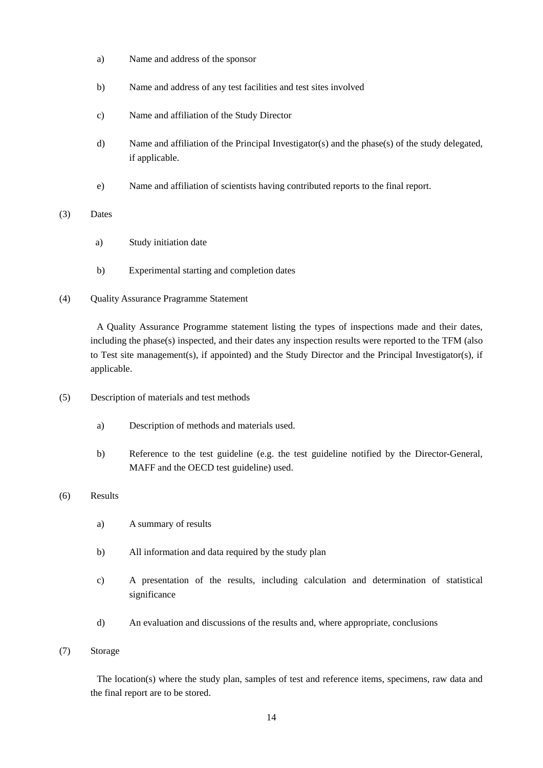- a) Name and address of the sponsor
- b) Name and address of any test facilities and test sites involved
- c) Name and affiliation of the Study Director
- d) Name and affiliation of the Principal Investigator(s) and the phase(s) of the study delegated, if applicable.
- e) Name and affiliation of scientists having contributed reports to the final report.

### (3) Dates

- a) Study initiation date
- b) Experimental starting and completion dates
- (4) Quality Assurance Pragramme Statement

A Quality Assurance Programme statement listing the types of inspections made and their dates, including the phase(s) inspected, and their dates any inspection results were reported to the TFM (also to Test site management(s), if appointed) and the Study Director and the Principal Investigator(s), if applicable.

- (5) Description of materials and test methods
	- a) Description of methods and materials used.
	- b) Reference to the test guideline (e.g. the test guideline notified by the Director-General, MAFF and the OECD test guideline) used.

### (6) Results

- a) A summary of results
- b) All information and data required by the study plan
- c) A presentation of the results, including calculation and determination of statistical significance
- d) An evaluation and discussions of the results and, where appropriate, conclusions

### (7) Storage

The location(s) where the study plan, samples of test and reference items, specimens, raw data and the final report are to be stored.